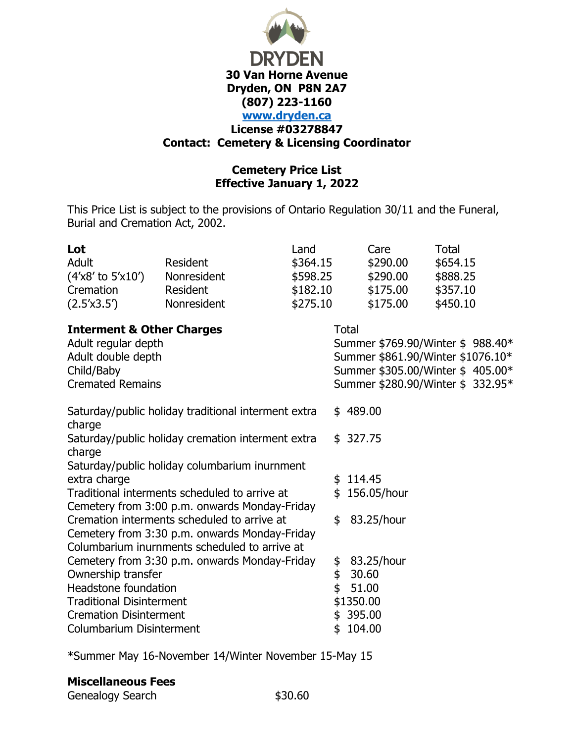

## **Cemetery Price List Effective January 1, 2022**

This Price List is subject to the provisions of Ontario Regulation 30/11 and the Funeral, Burial and Cremation Act, 2002.

| Lot                                                                                            |                                               | Land     |                                   | Care          | <b>Total</b>                      |
|------------------------------------------------------------------------------------------------|-----------------------------------------------|----------|-----------------------------------|---------------|-----------------------------------|
| <b>Adult</b>                                                                                   | Resident                                      | \$364.15 |                                   | \$290.00      | \$654.15                          |
| $(4'x8'$ to $5'x10')$                                                                          | Nonresident                                   | \$598.25 |                                   | \$290.00      | \$888.25                          |
| Cremation                                                                                      | Resident                                      | \$182.10 |                                   | \$175.00      | \$357.10                          |
| (2.5'x3.5')                                                                                    | Nonresident                                   | \$275.10 |                                   | \$175.00      | \$450.10                          |
| <b>Interment &amp; Other Charges</b>                                                           |                                               |          |                                   | <b>Total</b>  |                                   |
| Adult regular depth                                                                            |                                               |          | Summer \$769.90/Winter \$988.40*  |               |                                   |
| Adult double depth                                                                             |                                               |          | Summer \$861.90/Winter \$1076.10* |               |                                   |
| Child/Baby                                                                                     |                                               |          |                                   |               | Summer \$305.00/Winter \$405.00*  |
| <b>Cremated Remains</b>                                                                        |                                               |          |                                   |               | Summer \$280.90/Winter \$ 332.95* |
| Saturday/public holiday traditional interment extra<br>charge                                  |                                               |          |                                   | \$489.00      |                                   |
| Saturday/public holiday cremation interment extra                                              |                                               |          |                                   | \$327.75      |                                   |
| charge                                                                                         |                                               |          |                                   |               |                                   |
|                                                                                                | Saturday/public holiday columbarium inurnment |          |                                   |               |                                   |
| extra charge                                                                                   |                                               |          | \$                                | 114.45        |                                   |
| Traditional interments scheduled to arrive at                                                  |                                               |          |                                   | \$156.05/hour |                                   |
|                                                                                                | Cemetery from 3:00 p.m. onwards Monday-Friday |          |                                   |               |                                   |
| Cremation interments scheduled to arrive at<br>Cemetery from 3:30 p.m. onwards Monday-Friday   |                                               |          | \$                                | 83.25/hour    |                                   |
|                                                                                                |                                               |          |                                   |               |                                   |
| Columbarium inurnments scheduled to arrive at<br>Cemetery from 3:30 p.m. onwards Monday-Friday |                                               |          | \$                                | 83.25/hour    |                                   |
| Ownership transfer                                                                             |                                               | \$       | 30.60                             |               |                                   |
| Headstone foundation                                                                           |                                               | \$       | 51.00                             |               |                                   |
| <b>Traditional Disinterment</b>                                                                |                                               |          | \$1350.00                         |               |                                   |
| <b>Cremation Disinterment</b>                                                                  |                                               |          | 395.00<br>\$                      |               |                                   |
| Columbarium Disinterment                                                                       |                                               |          | \$                                | 104.00        |                                   |

\*Summer May 16-November 14/Winter November 15-May 15

# **Miscellaneous Fees**

Genealogy Search \$30.60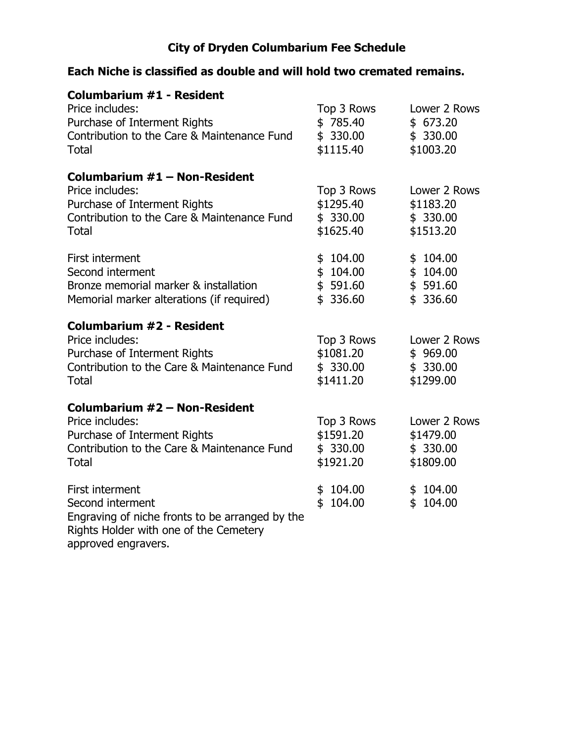# **City of Dryden Columbarium Fee Schedule**

# **Each Niche is classified as double and will hold two cremated remains.**

| <b>Columbarium #1 - Resident</b><br>Price includes:<br>Purchase of Interment Rights<br>Contribution to the Care & Maintenance Fund<br><b>Total</b>      | Top 3 Rows<br>\$785.40<br>\$330.00<br>\$1115.40  | Lower 2 Rows<br>\$673.20<br>\$330.00<br>\$1003.20   |
|---------------------------------------------------------------------------------------------------------------------------------------------------------|--------------------------------------------------|-----------------------------------------------------|
| Columbarium #1 - Non-Resident<br>Price includes:<br>Purchase of Interment Rights<br>Contribution to the Care & Maintenance Fund<br>Total                | Top 3 Rows<br>\$1295.40<br>\$330.00<br>\$1625.40 | Lower 2 Rows<br>\$1183.20<br>\$ 330.00<br>\$1513.20 |
| First interment<br>Second interment<br>Bronze memorial marker & installation<br>Memorial marker alterations (if required)                               | 104.00<br>\$<br>\$104.00<br>\$591.60<br>\$336.60 | \$104.00<br>\$104.00<br>\$591.60<br>\$<br>336.60    |
| <b>Columbarium #2 - Resident</b><br>Price includes:<br>Purchase of Interment Rights<br>Contribution to the Care & Maintenance Fund<br><b>Total</b>      | Top 3 Rows<br>\$1081.20<br>\$330.00<br>\$1411.20 | Lower 2 Rows<br>\$969.00<br>\$330.00<br>\$1299.00   |
| Columbarium #2 - Non-Resident<br>Price includes:<br>Purchase of Interment Rights<br>Contribution to the Care & Maintenance Fund<br><b>Total</b>         | Top 3 Rows<br>\$1591.20<br>\$330.00<br>\$1921.20 | Lower 2 Rows<br>\$1479.00<br>\$330.00<br>\$1809.00  |
| First interment<br>Second interment<br>Engraving of niche fronts to be arranged by the<br>Rights Holder with one of the Cemetery<br>approved engravers. | \$104.00<br>\$<br>104.00                         | \$104.00<br>104.00<br>\$                            |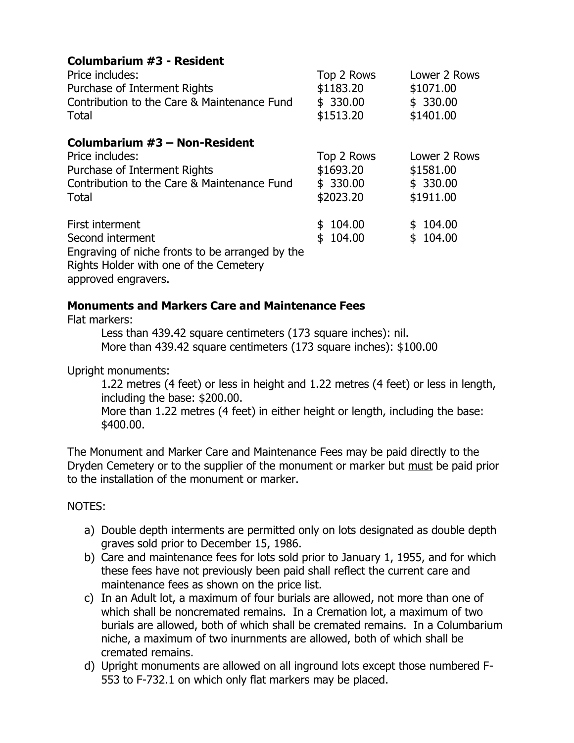## **Columbarium #3 - Resident**

| Price includes:                                                                                                                                         | Top 2 Rows                   | Lower 2 Rows                 |
|---------------------------------------------------------------------------------------------------------------------------------------------------------|------------------------------|------------------------------|
| Purchase of Interment Rights                                                                                                                            | \$1183.20                    | \$1071.00                    |
| Contribution to the Care & Maintenance Fund                                                                                                             | \$330.00                     | \$330.00                     |
| Total                                                                                                                                                   | \$1513.20                    | \$1401.00                    |
| Columbarium #3 - Non-Resident<br>Price includes:                                                                                                        | Top 2 Rows                   | Lower 2 Rows                 |
| Purchase of Interment Rights                                                                                                                            | \$1693.20                    | \$1581.00                    |
| Contribution to the Care & Maintenance Fund                                                                                                             | \$330.00                     | \$330.00                     |
| Total                                                                                                                                                   | \$2023.20                    | \$1911.00                    |
| First interment<br>Second interment<br>Engraving of niche fronts to be arranged by the<br>Rights Holder with one of the Cemetery<br>approved engravers. | 104.00<br>\$<br>104.00<br>\$ | 104.00<br>\$<br>104.00<br>\$ |

#### **Monuments and Markers Care and Maintenance Fees**

Flat markers:

Less than 439.42 square centimeters (173 square inches): nil. More than 439.42 square centimeters (173 square inches): \$100.00

Upright monuments:

1.22 metres (4 feet) or less in height and 1.22 metres (4 feet) or less in length, including the base: \$200.00.

More than 1.22 metres (4 feet) in either height or length, including the base: \$400.00.

The Monument and Marker Care and Maintenance Fees may be paid directly to the Dryden Cemetery or to the supplier of the monument or marker but must be paid prior to the installation of the monument or marker.

#### NOTES:

- a) Double depth interments are permitted only on lots designated as double depth graves sold prior to December 15, 1986.
- b) Care and maintenance fees for lots sold prior to January 1, 1955, and for which these fees have not previously been paid shall reflect the current care and maintenance fees as shown on the price list.
- c) In an Adult lot, a maximum of four burials are allowed, not more than one of which shall be noncremated remains. In a Cremation lot, a maximum of two burials are allowed, both of which shall be cremated remains. In a Columbarium niche, a maximum of two inurnments are allowed, both of which shall be cremated remains.
- d) Upright monuments are allowed on all inground lots except those numbered F-553 to F-732.1 on which only flat markers may be placed.